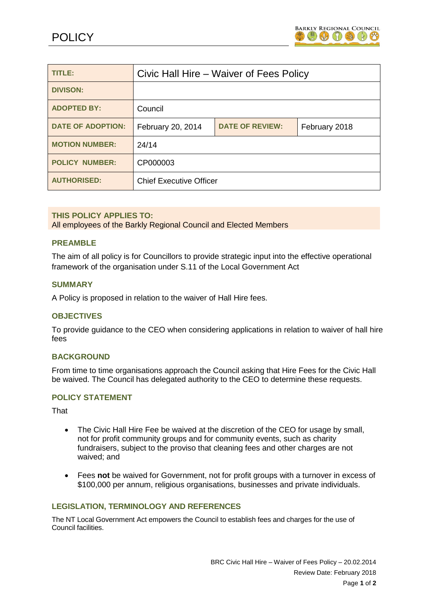

| TITLE:                   | Civic Hall Hire – Waiver of Fees Policy |                        |               |
|--------------------------|-----------------------------------------|------------------------|---------------|
| <b>DIVISON:</b>          |                                         |                        |               |
| <b>ADOPTED BY:</b>       | Council                                 |                        |               |
| <b>DATE OF ADOPTION:</b> | February 20, 2014                       | <b>DATE OF REVIEW:</b> | February 2018 |
| <b>MOTION NUMBER:</b>    | 24/14                                   |                        |               |
| <b>POLICY NUMBER:</b>    | CP000003                                |                        |               |
| <b>AUTHORISED:</b>       | <b>Chief Executive Officer</b>          |                        |               |

### **THIS POLICY APPLIES TO:**

All employees of the Barkly Regional Council and Elected Members

#### **PREAMBLE**

The aim of all policy is for Councillors to provide strategic input into the effective operational framework of the organisation under S.11 of the Local Government Act

#### **SUMMARY**

A Policy is proposed in relation to the waiver of Hall Hire fees.

## **OBJECTIVES**

To provide guidance to the CEO when considering applications in relation to waiver of hall hire fees

## **BACKGROUND**

From time to time organisations approach the Council asking that Hire Fees for the Civic Hall be waived. The Council has delegated authority to the CEO to determine these requests.

# **POLICY STATEMENT**

**That** 

- The Civic Hall Hire Fee be waived at the discretion of the CEO for usage by small, not for profit community groups and for community events, such as charity fundraisers, subject to the proviso that cleaning fees and other charges are not waived; and
- Fees **not** be waived for Government, not for profit groups with a turnover in excess of \$100,000 per annum, religious organisations, businesses and private individuals.

#### **LEGISLATION, TERMINOLOGY AND REFERENCES**

The NT Local Government Act empowers the Council to establish fees and charges for the use of Council facilities.